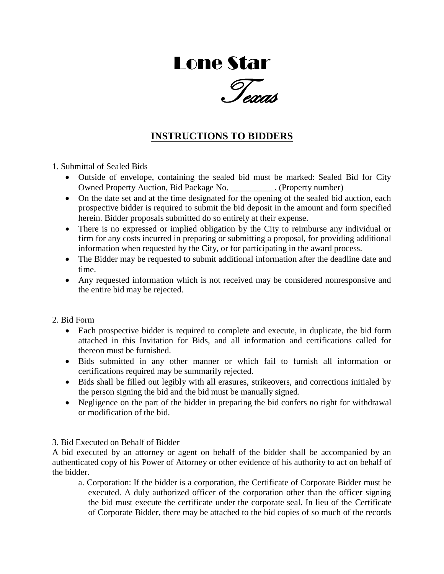# Lone Star

Texas

# **INSTRUCTIONS TO BIDDERS**

1. Submittal of Sealed Bids

- Outside of envelope, containing the sealed bid must be marked: Sealed Bid for City Owned Property Auction, Bid Package No. \_\_\_\_\_\_\_\_\_\_. (Property number)
- On the date set and at the time designated for the opening of the sealed bid auction, each prospective bidder is required to submit the bid deposit in the amount and form specified herein. Bidder proposals submitted do so entirely at their expense.
- There is no expressed or implied obligation by the City to reimburse any individual or firm for any costs incurred in preparing or submitting a proposal, for providing additional information when requested by the City, or for participating in the award process.
- The Bidder may be requested to submit additional information after the deadline date and time.
- Any requested information which is not received may be considered nonresponsive and the entire bid may be rejected.

#### 2. Bid Form

- Each prospective bidder is required to complete and execute, in duplicate, the bid form attached in this Invitation for Bids, and all information and certifications called for thereon must be furnished.
- Bids submitted in any other manner or which fail to furnish all information or certifications required may be summarily rejected.
- Bids shall be filled out legibly with all erasures, strikeovers, and corrections initialed by the person signing the bid and the bid must be manually signed.
- Negligence on the part of the bidder in preparing the bid confers no right for withdrawal or modification of the bid.

## 3. Bid Executed on Behalf of Bidder

A bid executed by an attorney or agent on behalf of the bidder shall be accompanied by an authenticated copy of his Power of Attorney or other evidence of his authority to act on behalf of the bidder.

a. Corporation: If the bidder is a corporation, the Certificate of Corporate Bidder must be executed. A duly authorized officer of the corporation other than the officer signing the bid must execute the certificate under the corporate seal. In lieu of the Certificate of Corporate Bidder, there may be attached to the bid copies of so much of the records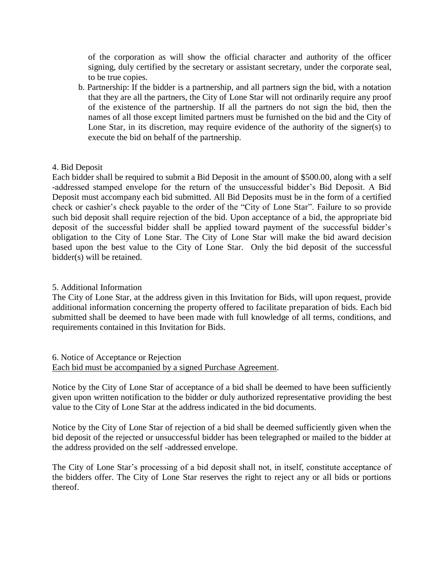of the corporation as will show the official character and authority of the officer signing, duly certified by the secretary or assistant secretary, under the corporate seal, to be true copies.

b. Partnership: If the bidder is a partnership, and all partners sign the bid, with a notation that they are all the partners, the City of Lone Star will not ordinarily require any proof of the existence of the partnership. If all the partners do not sign the bid, then the names of all those except limited partners must be furnished on the bid and the City of Lone Star, in its discretion, may require evidence of the authority of the signer(s) to execute the bid on behalf of the partnership.

### 4. Bid Deposit

Each bidder shall be required to submit a Bid Deposit in the amount of \$500.00, along with a self -addressed stamped envelope for the return of the unsuccessful bidder's Bid Deposit. A Bid Deposit must accompany each bid submitted. All Bid Deposits must be in the form of a certified check or cashier's check payable to the order of the "City of Lone Star". Failure to so provide such bid deposit shall require rejection of the bid. Upon acceptance of a bid, the appropriate bid deposit of the successful bidder shall be applied toward payment of the successful bidder's obligation to the City of Lone Star. The City of Lone Star will make the bid award decision based upon the best value to the City of Lone Star. Only the bid deposit of the successful bidder(s) will be retained.

#### 5. Additional Information

The City of Lone Star, at the address given in this Invitation for Bids, will upon request, provide additional information concerning the property offered to facilitate preparation of bids. Each bid submitted shall be deemed to have been made with full knowledge of all terms, conditions, and requirements contained in this Invitation for Bids.

6. Notice of Acceptance or Rejection Each bid must be accompanied by a signed Purchase Agreement.

Notice by the City of Lone Star of acceptance of a bid shall be deemed to have been sufficiently given upon written notification to the bidder or duly authorized representative providing the best value to the City of Lone Star at the address indicated in the bid documents.

Notice by the City of Lone Star of rejection of a bid shall be deemed sufficiently given when the bid deposit of the rejected or unsuccessful bidder has been telegraphed or mailed to the bidder at the address provided on the self -addressed envelope.

The City of Lone Star's processing of a bid deposit shall not, in itself, constitute acceptance of the bidders offer. The City of Lone Star reserves the right to reject any or all bids or portions thereof.